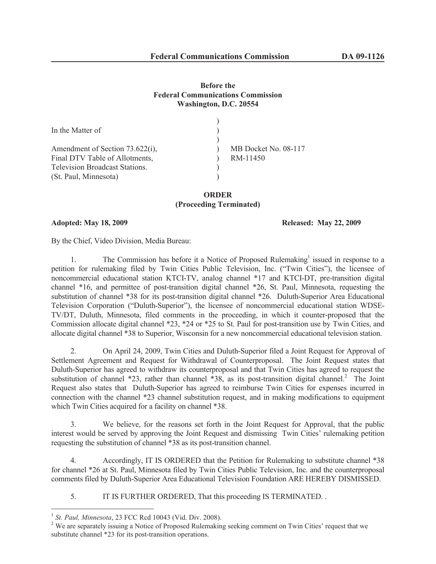## **Before the Federal Communications Commission Washington, D.C. 20554**

| In the Matter of                                                  |                                  |
|-------------------------------------------------------------------|----------------------------------|
| Amendment of Section 73.622(i),<br>Final DTV Table of Allotments, | MB Docket No. 08-117<br>RM-11450 |
| <b>Television Broadcast Stations.</b>                             |                                  |
| (St. Paul, Minnesota)                                             |                                  |

**ORDER (Proceeding Terminated)**

## **Adopted: May 18, 2009 Released: May 22, 2009**

By the Chief, Video Division, Media Bureau:

1. The Commission has before it a Notice of Proposed Rulemaking<sup>1</sup> issued in response to a petition for rulemaking filed by Twin Cities Public Television, Inc. ("Twin Cities"), the licensee of noncommercial educational station KTCI-TV, analog channel \*17 and KTCI-DT, pre-transition digital channel \*16, and permittee of post-transition digital channel \*26, St. Paul, Minnesota, requesting the substitution of channel \*38 for its post-transition digital channel \*26. Duluth-Superior Area Educational Television Corporation ("Duluth-Superior"), the licensee of noncommercial educational station WDSE-TV/DT, Duluth, Minnesota, filed comments in the proceeding, in which it counter-proposed that the Commission allocate digital channel \*23, \*24 or \*25 to St. Paul for post-transition use by Twin Cities, and allocate digital channel \*38 to Superior, Wisconsin for a new noncommercial educational television station.

2. On April 24, 2009, Twin Cities and Duluth-Superior filed a Joint Request for Approval of Settlement Agreement and Request for Withdrawal of Counterproposal. The Joint Request states that Duluth-Superior has agreed to withdraw its counterproposal and that Twin Cities has agreed to request the substitution of channel  $*23$ , rather than channel  $*38$ , as its post-transition digital channel.<sup>2</sup> The Joint Request also states that Duluth-Superior has agreed to reimburse Twin Cities for expenses incurred in connection with the channel \*23 channel substitution request, and in making modifications to equipment which Twin Cities acquired for a facility on channel \*38.

3. We believe, for the reasons set forth in the Joint Request for Approval, that the public interest would be served by approving the Joint Request and dismissing Twin Cities' rulemaking petition requesting the substitution of channel \*38 as its post-transition channel.

4. Accordingly, IT IS ORDERED that the Petition for Rulemaking to substitute channel \*38 for channel \*26 at St. Paul, Minnesota filed by Twin Cities Public Television, Inc. and the counterproposal comments filed by Duluth-Superior Area Educational Television Foundation ARE HEREBY DISMISSED.

5. IT IS FURTHER ORDERED, That this proceeding IS TERMINATED. .

<sup>1</sup> *St. Paul, Minnesota*, 23 FCC Rcd 10043 (Vid. Div. 2008).

<sup>&</sup>lt;sup>2</sup> We are separately issuing a Notice of Proposed Rulemaking seeking comment on Twin Cities' request that we substitute channel \*23 for its post-transition operations.